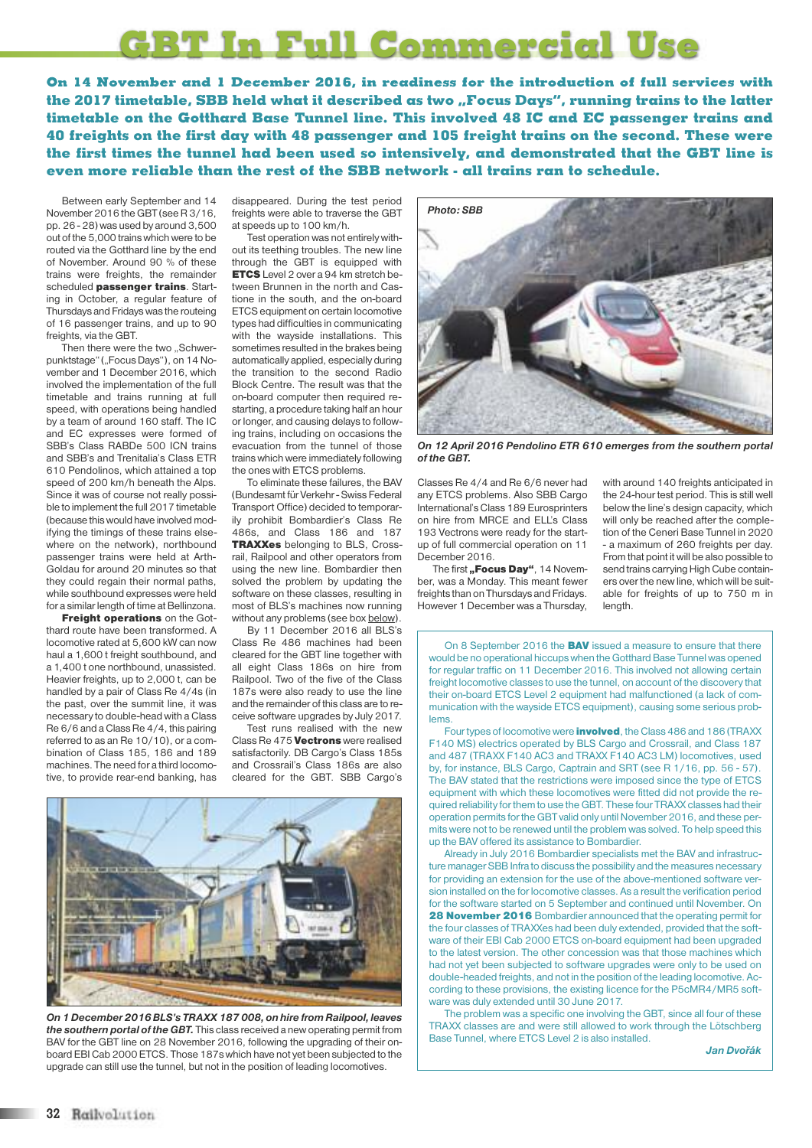## **GBT In Full Commercial Use**

**On 14 November and 1 December 2016, in readiness for the introduction of full services with the 2017 timetable, SBB held what it described as two "Focus Days", running trains to the latter timetable on the Gotthard Base Tunnel line. This involved 48 IC and EC passenger trains and 40 freights on the first day with 48 passenger and 105 freight trains on the second. These were the first times the tunnel had been used so intensively, and demonstrated that the GBT line is even more reliable than the rest of the SBB network - all trains ran to schedule.**

Between early September and 14 November 2016 the GBT (see R 3/16, pp. 26 - 28) was used by around 3,500 out of the 5,000 trainswhichwere to be routed via the Gotthard line by the end of November. Around 90 % of these trains were freights, the remainder scheduled **passenger trains**. Starting in October, a regular feature of Thursdays and Fridayswas the routeing of 16 passenger trains, and up to 90 freights, via the GBT.

Then there were the two "Schwerpunktstage" ("Focus Days"), on 14 November and 1 December 2016, which involved the implementation of the full timetable and trains running at full speed, with operations being handled by a team of around 160 staff. The IC and EC expresses were formed of SBB's Class RABDe 500 ICN trains and SBB's and Trenitalia's Class ETR 610 Pendolinos, which attained a top speed of 200 km/h beneath the Alps. Since it was of course not really possible to implement the full 2017 timetable (because thiswould have involved modifying the timings of these trains elsewhere on the network), northbound passenger trains were held at Arth-Goldau for around 20 minutes so that they could regain their normal paths, while southbound expresses were held for a similar length of time at Bellinzona.

**Freight operations** on the Gotthard route have been transformed. A locomotive rated at 5,600 kW can now haul a 1,600 t freight southbound, and a 1,400 t one northbound, unassisted. Heavier freights, up to 2,000 t, can be handled by a pair of Class Re 4/4s (in the past, over the summit line, it was necessary to double-head with a Class Re 6/6 and aClass Re 4/4, this pairing referred to as an Re 10/10), or a combination of Class 185, 186 and 189 machines. The need for a third locomotive, to provide rear-end banking, has

disappeared. During the test period freights were able to traverse the GBT at speeds up to 100 km/h.

Test operation was not entirely without its teething troubles. The new line through the GBT is equipped with **ETCS** Level 2 over a 94 km stretch between Brunnen in the north and Castione in the south, and the on-board ETCS equipment on certain locomotive types had difficulties in communicating with the wayside installations. This sometimes resulted in the brakes being automatically applied, especially during the transition to the second Radio Block Centre. The result was that the on-board computer then required restarting, a procedure taking half an hour or longer, and causing delays to following trains, including on occasions the evacuation from the tunnel of those trains which were immediately following the ones with ETCS problems.

To eliminate these failures, the BAV (Bundesamt für Verkehr - Swiss Federal Transport Office) decided to temporarily prohibit Bombardier's Class Re 486s, and Class 186 and 187 **TRAXXes** belonging to BLS, Crossrail, Railpool and other operators from using the new line. Bombardier then solved the problem by updating the software on these classes, resulting in most of BLS's machines now running without any problems (see box below).

By 11 December 2016 all BLS's Class Re 486 machines had been cleared for the GBT line together with all eight Class 186s on hire from Railpool. Two of the five of the Class 187s were also ready to use the line and the remainder of this class are to receive software upgrades by July 2017.

Test runs realised with the new Class Re 475 **Vectrons** were realised satisfactorily. DB Cargo's Class 185s and Crossrail's Class 186s are also cleared for the GBT. SBB Cargo's



*On 1 December 2016BLS's TRAXX 187 008, on hire from Railpool, leaves the southern portal of the GBT.* This class received a new operating permit from BAV for the GBT line on 28 November 2016, following the upgrading of their onboard EBI Cab 2000 ETCS. Those 187s which have not yet been subjected to the upgrade can still use the tunnel, but not in the position of leading locomotives.



*On 12 April 2016 Pendolino ETR 610 emerges from the southern portal of the GBT.*

Classes Re 4/4 and Re 6/6 never had any ETCS problems. Also SBB Cargo International's Class 189 Eurosprinters on hire from MRCE and ELL's Class 193 Vectrons were ready for the startup of full commercial operation on 11 December 2016.

The first **"Focus Day"**, 14 November, was a Monday. This meant fewer freights than on Thursdays and Fridays. However 1 December was a Thursday,

with around 140 freights anticipated in the 24-hour test period. This is still well below the line's design capacity, which will only be reached after the completion of the Ceneri Base Tunnel in 2020 - a maximum of 260 freights per day. From that point it will be also possible to send trains carrying High Cube containers over the new line, which will be suitable for freights of up to 750 m in length.

On 8 September 2016 the **BAV** issued a measure to ensure that there would be no operational hiccups when the Gotthard Base Tunnel was opened for regular traffic on 11 December 2016. This involved not allowing certain freight locomotive classes to use the tunnel, on account of the discovery that their on-board ETCS Level 2 equipment had malfunctioned (a lack of communication with the wayside ETCS equipment), causing some serious problems.

Four types of locomotive were **involved**, the Class 486 and 186 (TRAXX) F140 MS) electrics operated by BLS Cargo and Crossrail, and Class 187 and 487 (TRAXX F140 AC3 and TRAXX F140 AC3 LM) locomotives, used by, for instance, BLS Cargo, Captrain and SRT (see R 1/16, pp. 56 - 57). The BAV stated that the restrictions were imposed since the type of ETCS equipment with which these locomotives were fitted did not provide the required reliability for them to use the GBT. These four TRAXX classes had their operation permits for the GBT valid only until November 2016, and these permits were not to be renewed until the problem was solved. To help speed this up the BAV offered its assistance to Bombardier.

Already in July 2016 Bombardier specialists met the BAV and infrastructure manager SBB Infra to discuss the possibility and the measures necessary for providing an extension for the use of the above-mentioned software version installed on the for locomotive classes. As a result the verification period for the software started on 5 September and continued until November. On **28 November 2016** Bombardier announced that the operating permit for the four classes of TRAXXes had been duly extended, provided that the software of their EBI Cab 2000 ETCS on-board equipment had been upgraded to the latest version. The other concession was that those machines which had not yet been subjected to software upgrades were only to be used on double-headed freights, and not in the position of the leading locomotive. According to these provisions, the existing licence for the P5cMR4/MR5 software was duly extended until 30 June 2017.

The problem was a specific one involving the GBT, since all four of these TRAXX classes are and were still allowed to work through the Lötschberg Base Tunnel, where ETCS Level 2 is also installed.

*Jan Dvořák*